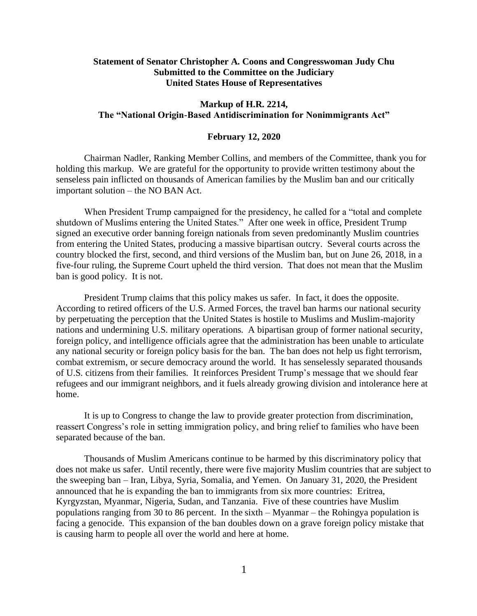## **Statement of Senator Christopher A. Coons and Congresswoman Judy Chu Submitted to the Committee on the Judiciary United States House of Representatives**

## **Markup of H.R. 2214, The "National Origin-Based Antidiscrimination for Nonimmigrants Act"**

## **February 12, 2020**

Chairman Nadler, Ranking Member Collins, and members of the Committee, thank you for holding this markup. We are grateful for the opportunity to provide written testimony about the senseless pain inflicted on thousands of American families by the Muslim ban and our critically important solution – the NO BAN Act.

When President Trump campaigned for the presidency, he called for a "total and complete shutdown of Muslims entering the United States." After one week in office, President Trump signed an executive order banning foreign nationals from seven predominantly Muslim countries from entering the United States, producing a massive bipartisan outcry. Several courts across the country blocked the first, second, and third versions of the Muslim ban, but on June 26, 2018, in a five-four ruling, the Supreme Court upheld the third version. That does not mean that the Muslim ban is good policy. It is not.

President Trump claims that this policy makes us safer. In fact, it does the opposite. According to retired officers of the U.S. Armed Forces, the travel ban harms our national security by perpetuating the perception that the United States is hostile to Muslims and Muslim-majority nations and undermining U.S. military operations. A bipartisan group of former national security, foreign policy, and intelligence officials agree that the administration has been unable to articulate any national security or foreign policy basis for the ban. The ban does not help us fight terrorism, combat extremism, or secure democracy around the world. It has senselessly separated thousands of U.S. citizens from their families. It reinforces President Trump's message that we should fear refugees and our immigrant neighbors, and it fuels already growing division and intolerance here at home.

It is up to Congress to change the law to provide greater protection from discrimination, reassert Congress's role in setting immigration policy, and bring relief to families who have been separated because of the ban.

Thousands of Muslim Americans continue to be harmed by this discriminatory policy that does not make us safer. Until recently, there were five majority Muslim countries that are subject to the sweeping ban – Iran, Libya, Syria, Somalia, and Yemen. On January 31, 2020, the President announced that he is expanding the ban to immigrants from six more countries: Eritrea, Kyrgyzstan, Myanmar, Nigeria, Sudan, and Tanzania. Five of these countries have Muslim populations ranging from 30 to 86 percent. In the sixth – Myanmar – the Rohingya population is facing a genocide. This expansion of the ban doubles down on a grave foreign policy mistake that is causing harm to people all over the world and here at home.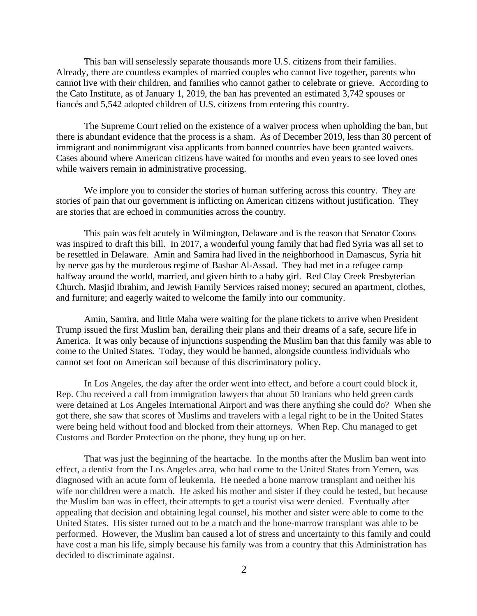This ban will senselessly separate thousands more U.S. citizens from their families. Already, there are countless examples of married couples who cannot live together, parents who cannot live with their children, and families who cannot gather to celebrate or grieve. According to the Cato Institute, as of January 1, 2019, the ban has prevented an estimated 3,742 spouses or fiancés and 5,542 adopted children of U.S. citizens from entering this country.

The Supreme Court relied on the existence of a waiver process when upholding the ban, but there is abundant evidence that the process is a sham. As of December 2019, less than 30 percent of immigrant and nonimmigrant visa applicants from banned countries have been granted waivers. Cases abound where American citizens have waited for months and even years to see loved ones while waivers remain in administrative processing.

We implore you to consider the stories of human suffering across this country. They are stories of pain that our government is inflicting on American citizens without justification. They are stories that are echoed in communities across the country.

This pain was felt acutely in Wilmington, Delaware and is the reason that Senator Coons was inspired to draft this bill. In 2017, a wonderful young family that had fled Syria was all set to be resettled in Delaware. Amin and Samira had lived in the neighborhood in Damascus, Syria hit by nerve gas by the murderous regime of Bashar Al-Assad. They had met in a refugee camp halfway around the world, married, and given birth to a baby girl. Red Clay Creek Presbyterian Church, Masjid Ibrahim, and Jewish Family Services raised money; secured an apartment, clothes, and furniture; and eagerly waited to welcome the family into our community.

Amin, Samira, and little Maha were waiting for the plane tickets to arrive when President Trump issued the first Muslim ban, derailing their plans and their dreams of a safe, secure life in America. It was only because of injunctions suspending the Muslim ban that this family was able to come to the United States. Today, they would be banned, alongside countless individuals who cannot set foot on American soil because of this discriminatory policy.

In Los Angeles, the day after the order went into effect, and before a court could block it, Rep. Chu received a call from immigration lawyers that about 50 Iranians who held green cards were detained at Los Angeles International Airport and was there anything she could do? When she got there, she saw that scores of Muslims and travelers with a legal right to be in the United States were being held without food and blocked from their attorneys. When Rep. Chu managed to get Customs and Border Protection on the phone, they hung up on her.

That was just the beginning of the heartache. In the months after the Muslim ban went into effect, a dentist from the Los Angeles area, who had come to the United States from Yemen, was diagnosed with an acute form of leukemia. He needed a bone marrow transplant and neither his wife nor children were a match. He asked his mother and sister if they could be tested, but because the Muslim ban was in effect, their attempts to get a tourist visa were denied. Eventually after appealing that decision and obtaining legal counsel, his mother and sister were able to come to the United States. His sister turned out to be a match and the bone-marrow transplant was able to be performed. However, the Muslim ban caused a lot of stress and uncertainty to this family and could have cost a man his life, simply because his family was from a country that this Administration has decided to discriminate against.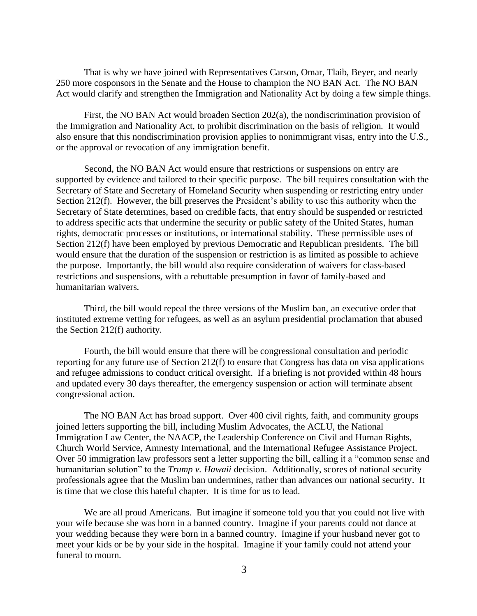That is why we have joined with Representatives Carson, Omar, Tlaib, Beyer, and nearly 250 more cosponsors in the Senate and the House to champion the NO BAN Act. The NO BAN Act would clarify and strengthen the Immigration and Nationality Act by doing a few simple things.

First, the NO BAN Act would broaden Section 202(a), the nondiscrimination provision of the Immigration and Nationality Act, to prohibit discrimination on the basis of religion. It would also ensure that this nondiscrimination provision applies to nonimmigrant visas, entry into the U.S., or the approval or revocation of any immigration benefit.

Second, the NO BAN Act would ensure that restrictions or suspensions on entry are supported by evidence and tailored to their specific purpose. The bill requires consultation with the Secretary of State and Secretary of Homeland Security when suspending or restricting entry under Section 212(f). However, the bill preserves the President's ability to use this authority when the Secretary of State determines, based on credible facts, that entry should be suspended or restricted to address specific acts that undermine the security or public safety of the United States, human rights, democratic processes or institutions, or international stability. These permissible uses of Section 212(f) have been employed by previous Democratic and Republican presidents. The bill would ensure that the duration of the suspension or restriction is as limited as possible to achieve the purpose. Importantly, the bill would also require consideration of waivers for class-based restrictions and suspensions, with a rebuttable presumption in favor of family-based and humanitarian waivers.

Third, the bill would repeal the three versions of the Muslim ban, an executive order that instituted extreme vetting for refugees, as well as an asylum presidential proclamation that abused the Section 212(f) authority.

Fourth, the bill would ensure that there will be congressional consultation and periodic reporting for any future use of Section 212(f) to ensure that Congress has data on visa applications and refugee admissions to conduct critical oversight. If a briefing is not provided within 48 hours and updated every 30 days thereafter, the emergency suspension or action will terminate absent congressional action.

The NO BAN Act has broad support. Over 400 civil rights, faith, and community groups joined letters supporting the bill, including Muslim Advocates, the ACLU, the National Immigration Law Center, the NAACP, the Leadership Conference on Civil and Human Rights, Church World Service, Amnesty International, and the International Refugee Assistance Project. Over 50 immigration law professors sent a letter supporting the bill, calling it a "common sense and humanitarian solution" to the *Trump v. Hawaii* decision. Additionally, scores of national security professionals agree that the Muslim ban undermines, rather than advances our national security. It is time that we close this hateful chapter. It is time for us to lead.

We are all proud Americans. But imagine if someone told you that you could not live with your wife because she was born in a banned country. Imagine if your parents could not dance at your wedding because they were born in a banned country. Imagine if your husband never got to meet your kids or be by your side in the hospital. Imagine if your family could not attend your funeral to mourn.